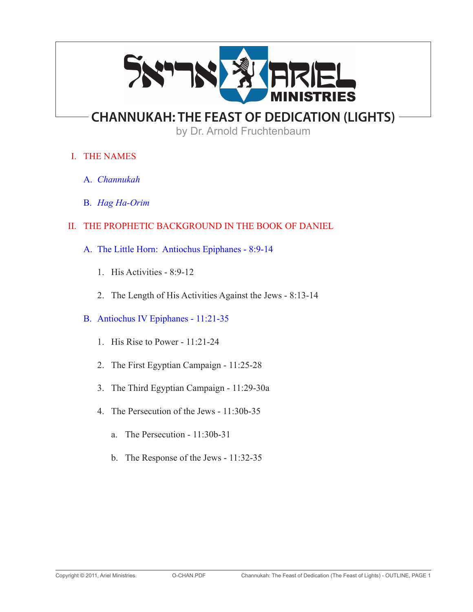

# **CHANNUKAH: THE FEAST OF DEDICATION (LIGHTS)**

by Dr. Arnold Fruchtenbaum

# I. THE NAMES

- A. *Channukah*
- B. *Hag Ha-Orim*

# II. THE PROPHETIC BACKGROUND IN THE BOOK OF DANIEL

- A. The Little Horn: Antiochus Epiphanes 8:9-14
	- 1. His Activities 8:9-12
	- 2. The Length of His Activities Against the Jews 8:13-14

## B. Antiochus IV Epiphanes - 11:21-35

- 1. His Rise to Power 11:21-24
- 2. The First Egyptian Campaign 11:25-28
- 3. The Third Egyptian Campaign 11:29-30a
- 4. The Persecution of the Jews 11:30b-35
	- a. The Persecution 11:30b-31
	- b. The Response of the Jews 11:32-35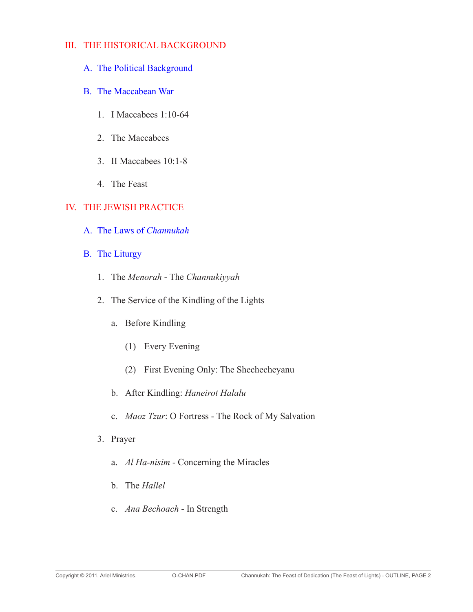#### III. THE HISTORICAL BACKGROUND

- A. The Political Background
- B. The Maccabean War
	- 1. I Maccabees 1:10-64
	- 2. The Maccabees
	- 3. II Maccabees 10:1-8
	- 4. The Feast

#### IV. THE JEWISH PRACTICE

- A. The Laws of *Channukah*
- B. The Liturgy
	- 1. The *Menorah* The *Channukiyyah*
	- 2. The Service of the Kindling of the Lights
		- a. Before Kindling
			- (1) Every Evening
			- (2) First Evening Only: The Shechecheyanu
		- b. After Kindling: *Haneirot Halalu*
		- c. *Maoz Tzur*: O Fortress The Rock of My Salvation
	- 3. Prayer
		- a. *Al Ha-nisim* Concerning the Miracles
		- b. The *Hallel*
		- c. *Ana Bechoach* In Strength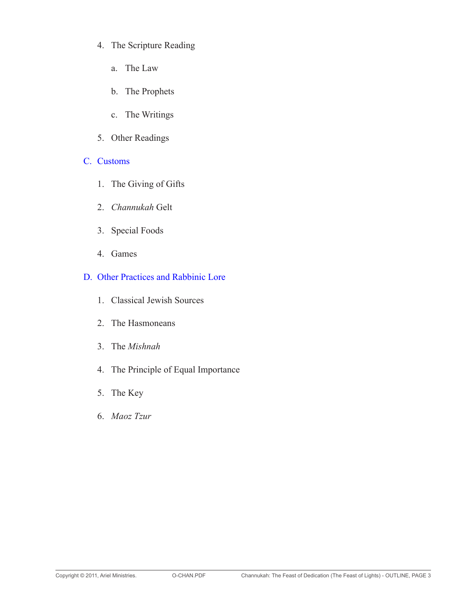- 4. The Scripture Reading
	- a. The Law
	- b. The Prophets
	- c. The Writings
- 5. Other Readings

#### C. Customs

- 1. The Giving of Gifts
- 2. *Channukah* Gelt
- 3. Special Foods
- 4. Games

#### D. Other Practices and Rabbinic Lore

- 1. Classical Jewish Sources
- 2. The Hasmoneans
- 3. The *Mishnah*
- 4. The Principle of Equal Importance
- 5. The Key
- 6. *Maoz Tzur*